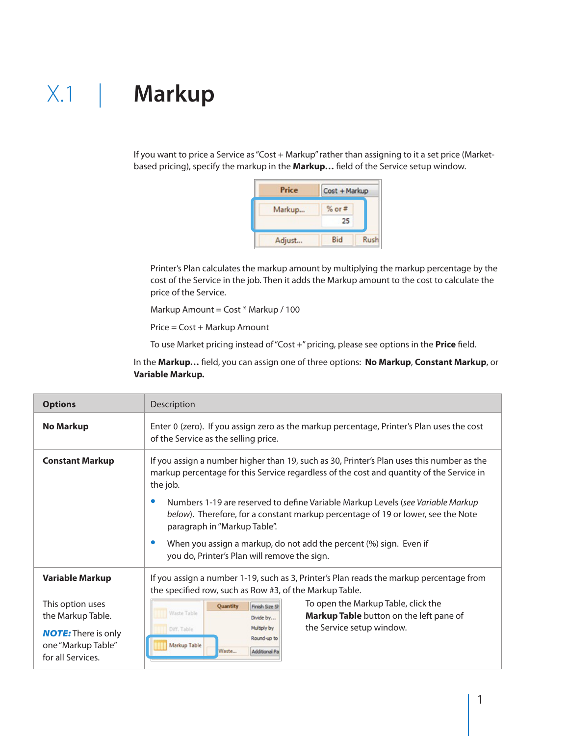If you want to price a Service as "Cost + Markup" rather than assigning to it a set price (Marketbased pricing), specify the markup in the **Markup…** field of the Service setup window.

| <b>Price</b> | Cost + Markup    |      |
|--------------|------------------|------|
| Markup       | $%$ or $#$<br>25 |      |
| Adjust       | Bid              | Rush |

Printer's Plan calculates the markup amount by multiplying the markup percentage by the cost of the Service in the job. Then it adds the Markup amount to the cost to calculate the price of the Service.

Markup Amount = Cost \* Markup / 100

Price = Cost + Markup Amount

To use Market pricing instead of "Cost +" pricing, please see options in the **Price** field.

In the **Markup…** field, you can assign one of three options: **No Markup**, **Constant Markup**, or **Variable Markup.**

| <b>Options</b>                                                                            | Description                                                                                                                                                                                                                                                               |  |
|-------------------------------------------------------------------------------------------|---------------------------------------------------------------------------------------------------------------------------------------------------------------------------------------------------------------------------------------------------------------------------|--|
| <b>No Markup</b>                                                                          | Enter 0 (zero). If you assign zero as the markup percentage, Printer's Plan uses the cost<br>of the Service as the selling price.                                                                                                                                         |  |
| <b>Constant Markup</b>                                                                    | If you assign a number higher than 19, such as 30, Printer's Plan uses this number as the<br>markup percentage for this Service regardless of the cost and quantity of the Service in<br>the job.                                                                         |  |
|                                                                                           | Numbers 1-19 are reserved to define Variable Markup Levels (see Variable Markup<br>below). Therefore, for a constant markup percentage of 19 or lower, see the Note<br>paragraph in "Markup Table".<br>When you assign a markup, do not add the percent (%) sign. Even if |  |
|                                                                                           | you do, Printer's Plan will remove the sign.                                                                                                                                                                                                                              |  |
| <b>Variable Markup</b>                                                                    | If you assign a number 1-19, such as 3, Printer's Plan reads the markup percentage from<br>the specified row, such as Row #3, of the Markup Table.                                                                                                                        |  |
| This option uses<br>the Markup Table.<br><b>NOTE:</b> There is only<br>one "Markup Table" | To open the Markup Table, click the<br>Quantity<br>Finish Size Sh<br>Waste Table<br>Markup Table button on the left pane of<br>Divide by<br>the Service setup window.<br>Multiply by<br>Diff. Table<br>Round-up to<br>Markup Table                                        |  |
| for all Services.                                                                         | Waste<br>Additional Pa                                                                                                                                                                                                                                                    |  |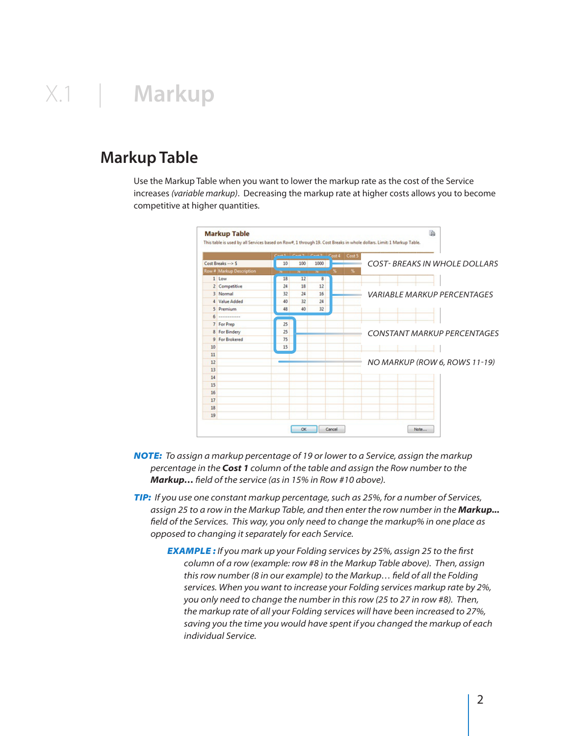### **Markup Table**

Use the Markup Table when you want to lower the markup rate as the cost of the Service increases *(variable markup)*. Decreasing the markup rate at higher costs allows you to become competitive at higher quantities.



- *Note: To assign a markup percentage of 19 or lower to a Service, assign the markup percentage in the Cost 1 column of the table and assign the Row number to the Markup… field of the service (as in 15% in Row #10 above).*
- *Tip: If you use one constant markup percentage, such as 25%, for a number of Services, assign 25 to a row in the Markup Table, and then enter the row number in the Markup... field of the Services. This way, you only need to change the markup% in one place as opposed to changing it separately for each Service.*
	- *Example : If you mark up your Folding services by 25%, assign 25 to the first column of a row (example: row #8 in the Markup Table above). Then, assign this row number (8 in our example) to the Markup… field of all the Folding services. When you want to increase your Folding services markup rate by 2%, you only need to change the number in this row (25 to 27 in row #8). Then, the markup rate of all your Folding services will have been increased to 27%, saving you the time you would have spent if you changed the markup of each individual Service.*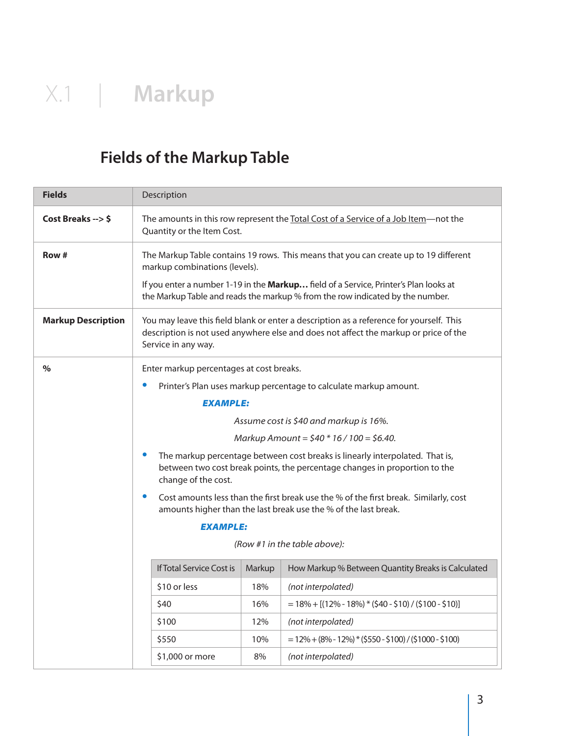### **Fields of the Markup Table**

| <b>Fields</b>             | Description                                                                                                                                                                                            |  |  |
|---------------------------|--------------------------------------------------------------------------------------------------------------------------------------------------------------------------------------------------------|--|--|
| Cost Breaks --> \$        | The amounts in this row represent the Total Cost of a Service of a Job Item-not the<br>Quantity or the Item Cost.                                                                                      |  |  |
| Row #                     | The Markup Table contains 19 rows. This means that you can create up to 19 different<br>markup combinations (levels).                                                                                  |  |  |
|                           | If you enter a number 1-19 in the Markup field of a Service, Printer's Plan looks at<br>the Markup Table and reads the markup % from the row indicated by the number.                                  |  |  |
| <b>Markup Description</b> | You may leave this field blank or enter a description as a reference for yourself. This<br>description is not used anywhere else and does not affect the markup or price of the<br>Service in any way. |  |  |
| $\%$                      | Enter markup percentages at cost breaks.                                                                                                                                                               |  |  |
|                           | Printer's Plan uses markup percentage to calculate markup amount.                                                                                                                                      |  |  |
|                           | <b>EXAMPLE:</b>                                                                                                                                                                                        |  |  |
|                           | Assume cost is \$40 and markup is 16%.                                                                                                                                                                 |  |  |
|                           | Markup Amount = $$40 * 16 / 100 = $6.40$ .                                                                                                                                                             |  |  |
|                           | The markup percentage between cost breaks is linearly interpolated. That is,<br>between two cost break points, the percentage changes in proportion to the<br>change of the cost.                      |  |  |
|                           | Cost amounts less than the first break use the % of the first break. Similarly, cost<br>amounts higher than the last break use the % of the last break.                                                |  |  |
| <b>EXAMPLE:</b>           |                                                                                                                                                                                                        |  |  |
|                           | (Row #1 in the table above):                                                                                                                                                                           |  |  |
|                           | <b>If Total Service Cost is</b><br>Markup<br>How Markup % Between Quantity Breaks is Calculated                                                                                                        |  |  |
|                           | \$10 or less<br>18%<br>(not interpolated)                                                                                                                                                              |  |  |
|                           | \$40<br>16%<br>$= 18\% + [(12\% - 18\%)*(540 - 510) / (5100 - 510)]$                                                                                                                                   |  |  |
|                           | \$100<br>12%<br>(not interpolated)                                                                                                                                                                     |  |  |
|                           | \$550<br>10%<br>$= 12\% + (8\% - 12\%) * (5550 - $100) / (51000 - $100)$                                                                                                                               |  |  |
|                           | \$1,000 or more<br>8%<br>(not interpolated)                                                                                                                                                            |  |  |